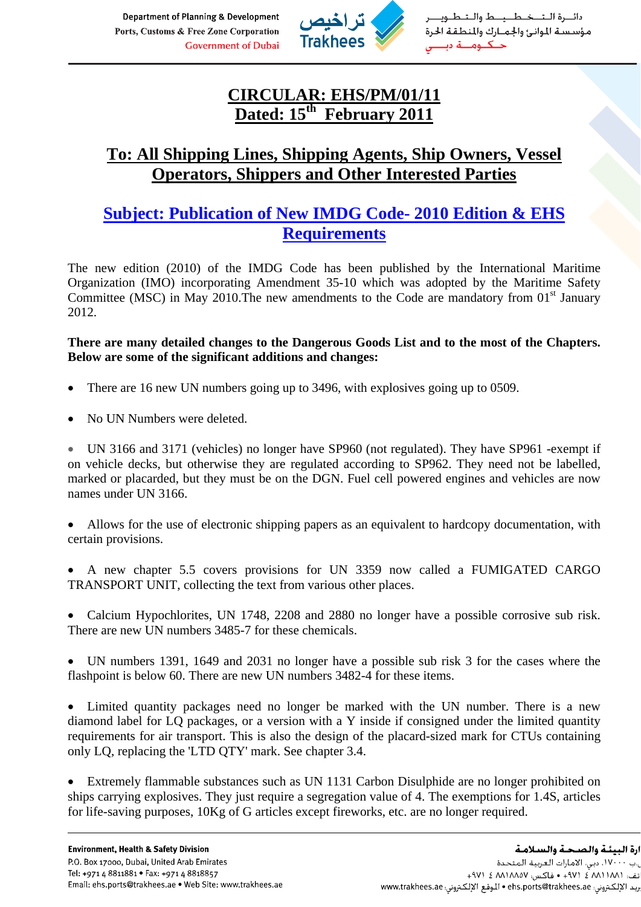Department of Planning & Development Ports, Customs & Free Zone Corporation **Government of Dubai** 



دائيرة التخطيط والتطويه مؤسست للوانئ والجمارك والمنطقة الحرة حــكــومـــة دى

## **CIRCULAR: EHS/PM/01/11 Dated: 15th February 2011**

## **To: All Shipping Lines, Shipping Agents, Ship Owners, Vessel Operators, Shippers and Other Interested Parties**

## **Subject: Publication of New IMDG Code- 2010 Edition & EHS Requirements**

The new edition (2010) of the IMDG Code has been published by the International Maritime Organization (IMO) incorporating Amendment 35-10 which was adopted by the Maritime Safety Committee (MSC) in May 2010. The new amendments to the Code are mandatory from  $01<sup>st</sup>$  January 2012.

**There are many detailed changes to the Dangerous Goods List and to the most of the Chapters. Below are some of the significant additions and changes:** 

- There are 16 new UN numbers going up to 3496, with explosives going up to 0509.
- No UN Numbers were deleted.

• UN 3166 and 3171 (vehicles) no longer have SP960 (not regulated). They have SP961 -exempt if on vehicle decks, but otherwise they are regulated according to SP962. They need not be labelled, marked or placarded, but they must be on the DGN. Fuel cell powered engines and vehicles are now names under UN 3166.

• Allows for the use of electronic shipping papers as an equivalent to hardcopy documentation, with certain provisions.

• A new chapter 5.5 covers provisions for UN 3359 now called a FUMIGATED CARGO TRANSPORT UNIT, collecting the text from various other places.

• Calcium Hypochlorites, UN 1748, 2208 and 2880 no longer have a possible corrosive sub risk. There are new UN numbers 3485-7 for these chemicals.

• UN numbers 1391, 1649 and 2031 no longer have a possible sub risk 3 for the cases where the flashpoint is below 60. There are new UN numbers 3482-4 for these items.

• Limited quantity packages need no longer be marked with the UN number. There is a new diamond label for LQ packages, or a version with a Y inside if consigned under the limited quantity requirements for air transport. This is also the design of the placard-sized mark for CTUs containing only LQ, replacing the 'LTD QTY' mark. See chapter 3.4.

• Extremely flammable substances such as UN 1131 Carbon Disulphide are no longer prohibited on ships carrying explosives. They just require a segregation value of 4. The exemptions for 1.4S, articles for life-saving purposes, 10Kg of G articles except fireworks, etc. are no longer required.